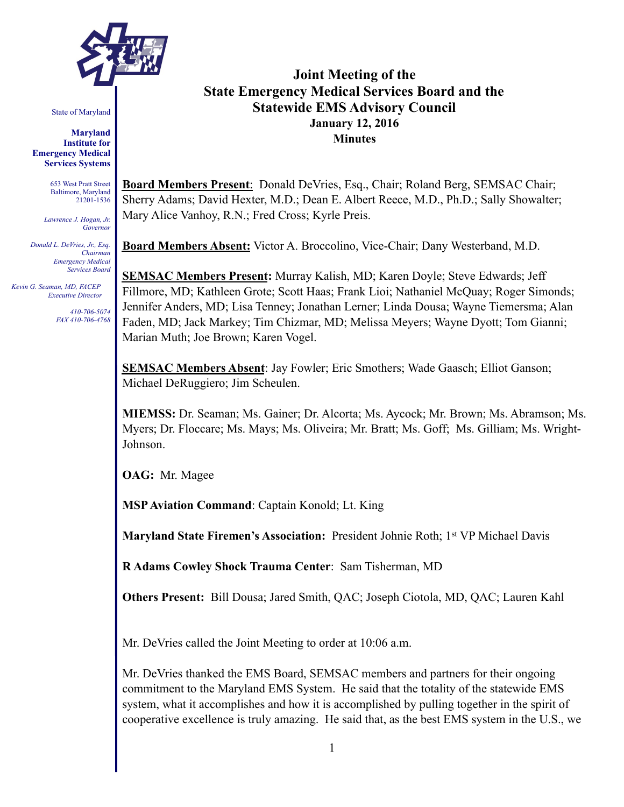

State of Maryland

**Maryland Institute for Emergency Medical Services Systems** 

> 653 West Pratt Street Baltimore, Maryland 21201-1536

*Lawrence J. Hogan, Jr. Governor* 

*Donald L. DeVries, Jr., Esq. Chairman Emergency Medical Services Board* 

 *Kevin G. Seaman, MD, FACEP Executive Director* 

> *410-706-5074 FAX 410-706-4768*

# **Joint Meeting of the State Emergency Medical Services Board and the Statewide EMS Advisory Council January 12, 2016 Minutes**

**Board Members Present**: Donald DeVries, Esq., Chair; Roland Berg, SEMSAC Chair; Sherry Adams; David Hexter, M.D.; Dean E. Albert Reece, M.D., Ph.D.; Sally Showalter; Mary Alice Vanhoy, R.N.; Fred Cross; Kyrle Preis.

**Board Members Absent:** Victor A. Broccolino, Vice-Chair; Dany Westerband, M.D.

**SEMSAC Members Present:** Murray Kalish, MD; Karen Doyle; Steve Edwards; Jeff Fillmore, MD; Kathleen Grote; Scott Haas; Frank Lioi; Nathaniel McQuay; Roger Simonds; Jennifer Anders, MD; Lisa Tenney; Jonathan Lerner; Linda Dousa; Wayne Tiemersma; Alan Faden, MD; Jack Markey; Tim Chizmar, MD; Melissa Meyers; Wayne Dyott; Tom Gianni; Marian Muth; Joe Brown; Karen Vogel.

**SEMSAC Members Absent**: Jay Fowler; Eric Smothers; Wade Gaasch; Elliot Ganson; Michael DeRuggiero; Jim Scheulen.

**MIEMSS:** Dr. Seaman; Ms. Gainer; Dr. Alcorta; Ms. Aycock; Mr. Brown; Ms. Abramson; Ms. Myers; Dr. Floccare; Ms. Mays; Ms. Oliveira; Mr. Bratt; Ms. Goff; Ms. Gilliam; Ms. Wright-Johnson.

**OAG:** Mr. Magee

**MSP Aviation Command**: Captain Konold; Lt. King

**Maryland State Firemen's Association:** President Johnie Roth; 1<sup>st</sup> VP Michael Davis

**R Adams Cowley Shock Trauma Center**: Sam Tisherman, MD

**Others Present:** Bill Dousa; Jared Smith, QAC; Joseph Ciotola, MD, QAC; Lauren Kahl

Mr. DeVries called the Joint Meeting to order at 10:06 a.m.

Mr. DeVries thanked the EMS Board, SEMSAC members and partners for their ongoing commitment to the Maryland EMS System. He said that the totality of the statewide EMS system, what it accomplishes and how it is accomplished by pulling together in the spirit of cooperative excellence is truly amazing. He said that, as the best EMS system in the U.S., we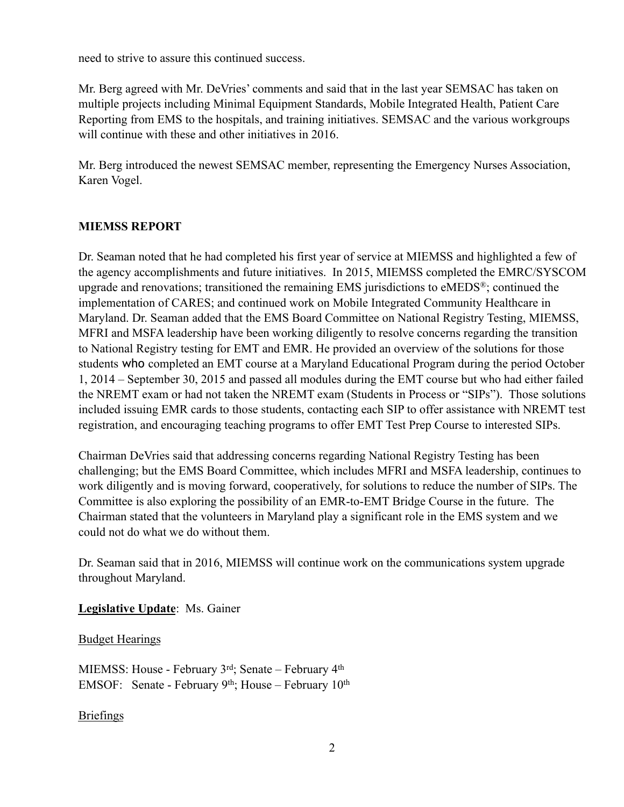need to strive to assure this continued success.

Mr. Berg agreed with Mr. DeVries' comments and said that in the last year SEMSAC has taken on multiple projects including Minimal Equipment Standards, Mobile Integrated Health, Patient Care Reporting from EMS to the hospitals, and training initiatives. SEMSAC and the various workgroups will continue with these and other initiatives in 2016.

Mr. Berg introduced the newest SEMSAC member, representing the Emergency Nurses Association, Karen Vogel.

#### **MIEMSS REPORT**

Dr. Seaman noted that he had completed his first year of service at MIEMSS and highlighted a few of the agency accomplishments and future initiatives. In 2015, MIEMSS completed the EMRC/SYSCOM upgrade and renovations; transitioned the remaining EMS jurisdictions to eMEDS®; continued the implementation of CARES; and continued work on Mobile Integrated Community Healthcare in Maryland. Dr. Seaman added that the EMS Board Committee on National Registry Testing, MIEMSS, MFRI and MSFA leadership have been working diligently to resolve concerns regarding the transition to National Registry testing for EMT and EMR. He provided an overview of the solutions for those students who completed an EMT course at a Maryland Educational Program during the period October 1, 2014 – September 30, 2015 and passed all modules during the EMT course but who had either failed the NREMT exam or had not taken the NREMT exam (Students in Process or "SIPs"). Those solutions included issuing EMR cards to those students, contacting each SIP to offer assistance with NREMT test registration, and encouraging teaching programs to offer EMT Test Prep Course to interested SIPs.

Chairman DeVries said that addressing concerns regarding National Registry Testing has been challenging; but the EMS Board Committee, which includes MFRI and MSFA leadership, continues to work diligently and is moving forward, cooperatively, for solutions to reduce the number of SIPs. The Committee is also exploring the possibility of an EMR-to-EMT Bridge Course in the future. The Chairman stated that the volunteers in Maryland play a significant role in the EMS system and we could not do what we do without them.

Dr. Seaman said that in 2016, MIEMSS will continue work on the communications system upgrade throughout Maryland.

**Legislative Update**: Ms. Gainer

#### Budget Hearings

MIEMSS: House - February 3<sup>rd</sup>; Senate – February 4<sup>th</sup> EMSOF: Senate - February 9<sup>th</sup>; House – February  $10^{th}$ 

#### Briefings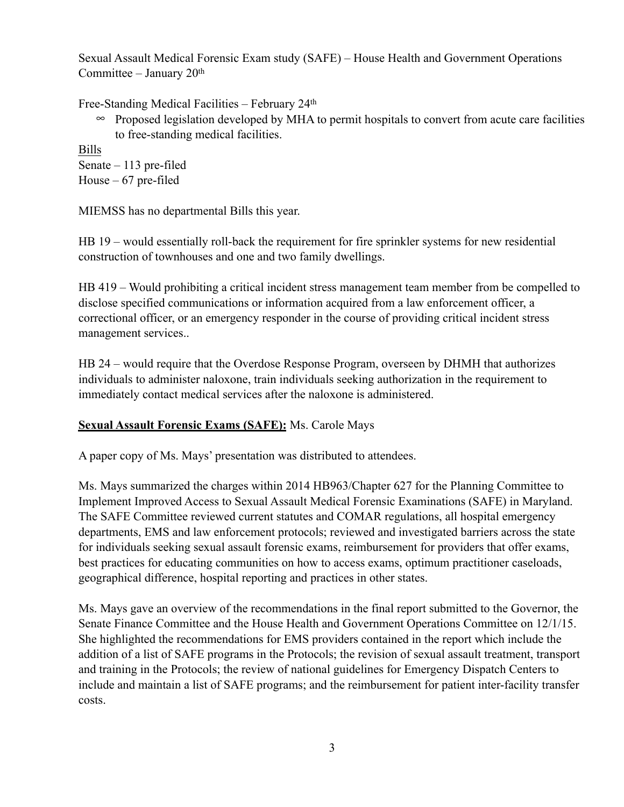Sexual Assault Medical Forensic Exam study (SAFE) – House Health and Government Operations Committee – January  $20<sup>th</sup>$ 

Free-Standing Medical Facilities – February 24th

• Proposed legislation developed by MHA to permit hospitals to convert from acute care facilities to free-standing medical facilities.

Bills Senate – 113 pre-filed House – 67 pre-filed

MIEMSS has no departmental Bills this year.

HB 19 – would essentially roll-back the requirement for fire sprinkler systems for new residential construction of townhouses and one and two family dwellings.

HB 419 – Would prohibiting a critical incident stress management team member from be compelled to disclose specified communications or information acquired from a law enforcement officer, a correctional officer, or an emergency responder in the course of providing critical incident stress management services..

HB 24 – would require that the Overdose Response Program, overseen by DHMH that authorizes individuals to administer naloxone, train individuals seeking authorization in the requirement to immediately contact medical services after the naloxone is administered.

## **Sexual Assault Forensic Exams (SAFE):** Ms. Carole Mays

A paper copy of Ms. Mays' presentation was distributed to attendees.

Ms. Mays summarized the charges within 2014 HB963/Chapter 627 for the Planning Committee to Implement Improved Access to Sexual Assault Medical Forensic Examinations (SAFE) in Maryland. The SAFE Committee reviewed current statutes and COMAR regulations, all hospital emergency departments, EMS and law enforcement protocols; reviewed and investigated barriers across the state for individuals seeking sexual assault forensic exams, reimbursement for providers that offer exams, best practices for educating communities on how to access exams, optimum practitioner caseloads, geographical difference, hospital reporting and practices in other states.

Ms. Mays gave an overview of the recommendations in the final report submitted to the Governor, the Senate Finance Committee and the House Health and Government Operations Committee on 12/1/15. She highlighted the recommendations for EMS providers contained in the report which include the addition of a list of SAFE programs in the Protocols; the revision of sexual assault treatment, transport and training in the Protocols; the review of national guidelines for Emergency Dispatch Centers to include and maintain a list of SAFE programs; and the reimbursement for patient inter-facility transfer costs.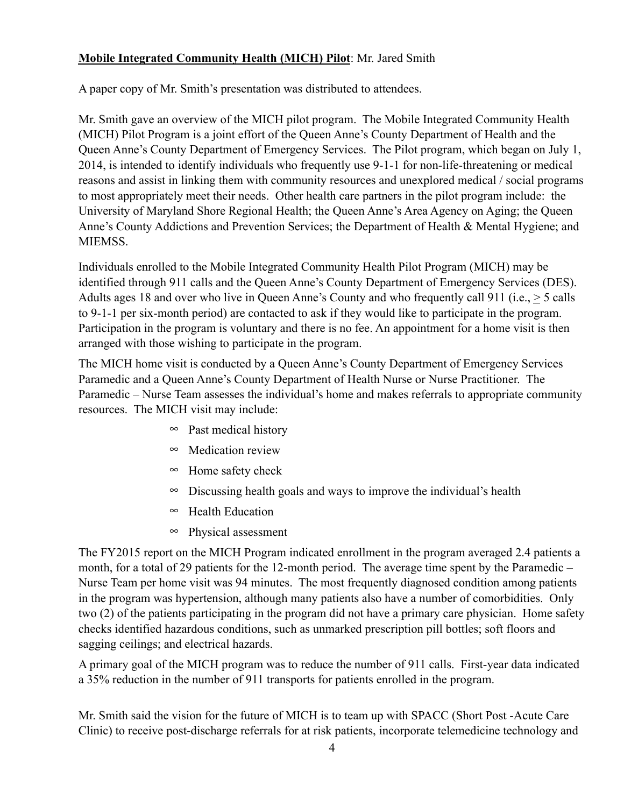### **Mobile Integrated Community Health (MICH) Pilot**: Mr. Jared Smith

A paper copy of Mr. Smith's presentation was distributed to attendees.

Mr. Smith gave an overview of the MICH pilot program. The Mobile Integrated Community Health (MICH) Pilot Program is a joint effort of the Queen Anne's County Department of Health and the Queen Anne's County Department of Emergency Services. The Pilot program, which began on July 1, 2014, is intended to identify individuals who frequently use 9-1-1 for non-life-threatening or medical reasons and assist in linking them with community resources and unexplored medical / social programs to most appropriately meet their needs. Other health care partners in the pilot program include: the University of Maryland Shore Regional Health; the Queen Anne's Area Agency on Aging; the Queen Anne's County Addictions and Prevention Services; the Department of Health & Mental Hygiene; and MIEMSS.

Individuals enrolled to the Mobile Integrated Community Health Pilot Program (MICH) may be identified through 911 calls and the Queen Anne's County Department of Emergency Services (DES). Adults ages 18 and over who live in Queen Anne's County and who frequently call 911 (i.e., > 5 calls to 9-1-1 per six-month period) are contacted to ask if they would like to participate in the program. Participation in the program is voluntary and there is no fee. An appointment for a home visit is then arranged with those wishing to participate in the program.

The MICH home visit is conducted by a Queen Anne's County Department of Emergency Services Paramedic and a Queen Anne's County Department of Health Nurse or Nurse Practitioner. The Paramedic – Nurse Team assesses the individual's home and makes referrals to appropriate community resources. The MICH visit may include:

- $\infty$  Past medical history
- $\infty$  Medication review
- $\infty$  Home safety check
- $\infty$  Discussing health goals and ways to improve the individual's health
- $\infty$  Health Education
- $\infty$  Physical assessment

The FY2015 report on the MICH Program indicated enrollment in the program averaged 2.4 patients a month, for a total of 29 patients for the 12-month period. The average time spent by the Paramedic – Nurse Team per home visit was 94 minutes. The most frequently diagnosed condition among patients in the program was hypertension, although many patients also have a number of comorbidities. Only two (2) of the patients participating in the program did not have a primary care physician. Home safety checks identified hazardous conditions, such as unmarked prescription pill bottles; soft floors and sagging ceilings; and electrical hazards.

A primary goal of the MICH program was to reduce the number of 911 calls. First-year data indicated a 35% reduction in the number of 911 transports for patients enrolled in the program.

Mr. Smith said the vision for the future of MICH is to team up with SPACC (Short Post -Acute Care Clinic) to receive post-discharge referrals for at risk patients, incorporate telemedicine technology and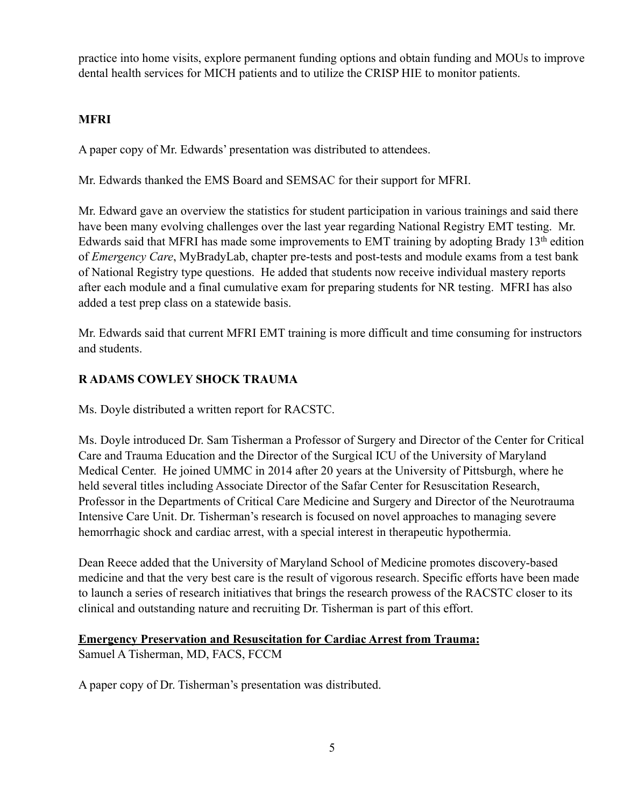practice into home visits, explore permanent funding options and obtain funding and MOUs to improve dental health services for MICH patients and to utilize the CRISP HIE to monitor patients.

### **MFRI**

A paper copy of Mr. Edwards' presentation was distributed to attendees.

Mr. Edwards thanked the EMS Board and SEMSAC for their support for MFRI.

Mr. Edward gave an overview the statistics for student participation in various trainings and said there have been many evolving challenges over the last year regarding National Registry EMT testing. Mr. Edwards said that MFRI has made some improvements to EMT training by adopting Brady  $13<sup>th</sup>$  edition of *Emergency Care*, MyBradyLab, chapter pre-tests and post-tests and module exams from a test bank of National Registry type questions. He added that students now receive individual mastery reports after each module and a final cumulative exam for preparing students for NR testing. MFRI has also added a test prep class on a statewide basis.

Mr. Edwards said that current MFRI EMT training is more difficult and time consuming for instructors and students.

## **R ADAMS COWLEY SHOCK TRAUMA**

Ms. Doyle distributed a written report for RACSTC.

Ms. Doyle introduced Dr. Sam Tisherman a Professor of Surgery and Director of the Center for Critical Care and Trauma Education and the Director of the Surgical ICU of the University of Maryland Medical Center. He joined UMMC in 2014 after 20 years at the University of Pittsburgh, where he held several titles including Associate Director of the Safar Center for Resuscitation Research, Professor in the Departments of Critical Care Medicine and Surgery and Director of the Neurotrauma Intensive Care Unit. Dr. Tisherman's research is focused on novel approaches to managing severe hemorrhagic shock and cardiac arrest, with a special interest in therapeutic hypothermia.

Dean Reece added that the University of Maryland School of Medicine promotes discovery-based medicine and that the very best care is the result of vigorous research. Specific efforts have been made to launch a series of research initiatives that brings the research prowess of the RACSTC closer to its clinical and outstanding nature and recruiting Dr. Tisherman is part of this effort.

#### **Emergency Preservation and Resuscitation for Cardiac Arrest from Trauma:**

Samuel A Tisherman, MD, FACS, FCCM

A paper copy of Dr. Tisherman's presentation was distributed.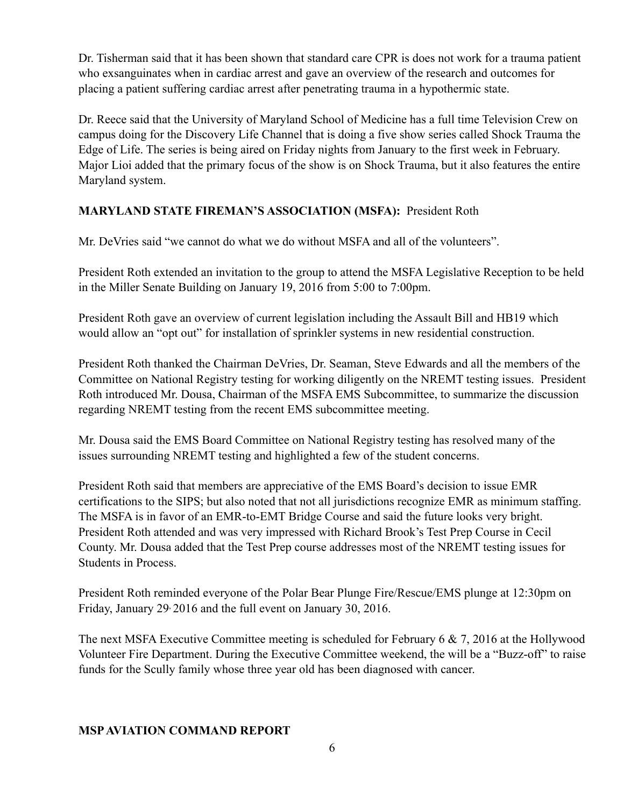Dr. Tisherman said that it has been shown that standard care CPR is does not work for a trauma patient who exsanguinates when in cardiac arrest and gave an overview of the research and outcomes for placing a patient suffering cardiac arrest after penetrating trauma in a hypothermic state.

Dr. Reece said that the University of Maryland School of Medicine has a full time Television Crew on campus doing for the Discovery Life Channel that is doing a five show series called Shock Trauma the Edge of Life. The series is being aired on Friday nights from January to the first week in February. Major Lioi added that the primary focus of the show is on Shock Trauma, but it also features the entire Maryland system.

## **MARYLAND STATE FIREMAN'S ASSOCIATION (MSFA):** President Roth

Mr. DeVries said "we cannot do what we do without MSFA and all of the volunteers".

President Roth extended an invitation to the group to attend the MSFA Legislative Reception to be held in the Miller Senate Building on January 19, 2016 from 5:00 to 7:00pm.

President Roth gave an overview of current legislation including the Assault Bill and HB19 which would allow an "opt out" for installation of sprinkler systems in new residential construction.

President Roth thanked the Chairman DeVries, Dr. Seaman, Steve Edwards and all the members of the Committee on National Registry testing for working diligently on the NREMT testing issues. President Roth introduced Mr. Dousa, Chairman of the MSFA EMS Subcommittee, to summarize the discussion regarding NREMT testing from the recent EMS subcommittee meeting.

Mr. Dousa said the EMS Board Committee on National Registry testing has resolved many of the issues surrounding NREMT testing and highlighted a few of the student concerns.

President Roth said that members are appreciative of the EMS Board's decision to issue EMR certifications to the SIPS; but also noted that not all jurisdictions recognize EMR as minimum staffing. The MSFA is in favor of an EMR-to-EMT Bridge Course and said the future looks very bright. President Roth attended and was very impressed with Richard Brook's Test Prep Course in Cecil County. Mr. Dousa added that the Test Prep course addresses most of the NREMT testing issues for Students in Process.

President Roth reminded everyone of the Polar Bear Plunge Fire/Rescue/EMS plunge at 12:30pm on Friday, January 29, 2016 and the full event on January 30, 2016.

The next MSFA Executive Committee meeting is scheduled for February 6 & 7, 2016 at the Hollywood Volunteer Fire Department. During the Executive Committee weekend, the will be a "Buzz-off" to raise funds for the Scully family whose three year old has been diagnosed with cancer.

#### **MSP AVIATION COMMAND REPORT**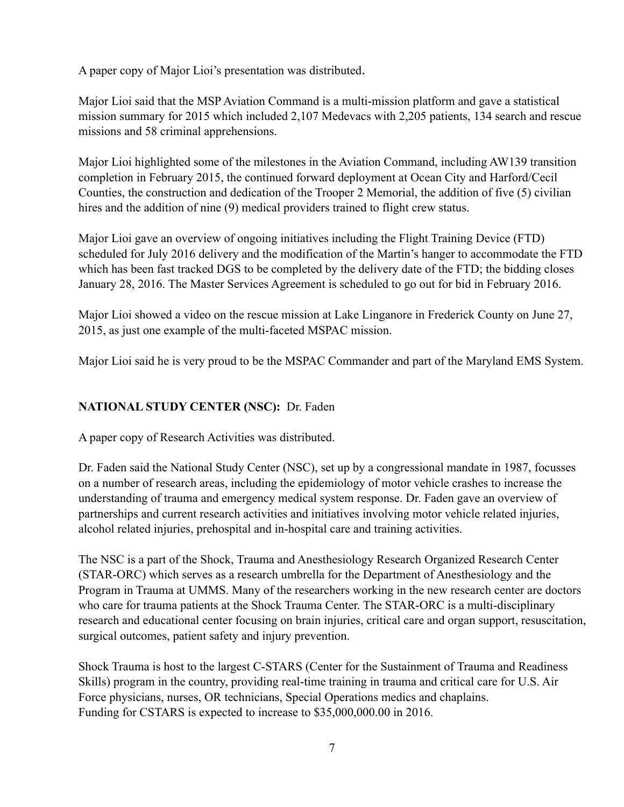A paper copy of Major Lioi's presentation was distributed.

Major Lioi said that the MSP Aviation Command is a multi-mission platform and gave a statistical mission summary for 2015 which included 2,107 Medevacs with 2,205 patients, 134 search and rescue missions and 58 criminal apprehensions.

Major Lioi highlighted some of the milestones in the Aviation Command, including AW139 transition completion in February 2015, the continued forward deployment at Ocean City and Harford/Cecil Counties, the construction and dedication of the Trooper 2 Memorial, the addition of five (5) civilian hires and the addition of nine (9) medical providers trained to flight crew status.

Major Lioi gave an overview of ongoing initiatives including the Flight Training Device (FTD) scheduled for July 2016 delivery and the modification of the Martin's hanger to accommodate the FTD which has been fast tracked DGS to be completed by the delivery date of the FTD; the bidding closes January 28, 2016. The Master Services Agreement is scheduled to go out for bid in February 2016.

Major Lioi showed a video on the rescue mission at Lake Linganore in Frederick County on June 27, 2015, as just one example of the multi-faceted MSPAC mission.

Major Lioi said he is very proud to be the MSPAC Commander and part of the Maryland EMS System.

## **NATIONAL STUDY CENTER (NSC):** Dr. Faden

A paper copy of Research Activities was distributed.

Dr. Faden said the National Study Center (NSC), set up by a congressional mandate in 1987, focusses on a number of research areas, including the epidemiology of motor vehicle crashes to increase the understanding of trauma and emergency medical system response. Dr. Faden gave an overview of partnerships and current research activities and initiatives involving motor vehicle related injuries, alcohol related injuries, prehospital and in-hospital care and training activities.

The NSC is a part of the Shock, Trauma and Anesthesiology Research Organized Research Center (STAR-ORC) which serves as a research umbrella for the Department of Anesthesiology and the Program in Trauma at UMMS. Many of the researchers working in the new research center are doctors who care for trauma patients at the Shock Trauma Center. The STAR-ORC is a multi-disciplinary research and educational center focusing on brain injuries, critical care and organ support, resuscitation, surgical outcomes, patient safety and injury prevention.

Shock Trauma is host to the largest C-STARS (Center for the Sustainment of Trauma and Readiness Skills) program in the country, providing real-time training in trauma and critical care for U.S. Air Force physicians, nurses, OR technicians, Special Operations medics and chaplains. Funding for CSTARS is expected to increase to \$35,000,000.00 in 2016.